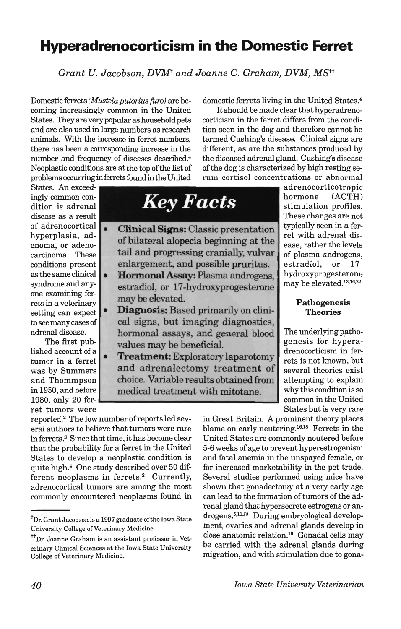# **Hyperadrenocorticism in the Domestic Ferret**

*Grant U. Jacobson, DVMt and Joanne* C. *Graham, DVM, MStt* 

Domestic ferrets *(Mustela putorius furo)* are becoming increasingly common in the United States. They are very popular as household pets and are also used in large numbers as research animals. With the increase in ferret numbers, there has been a corresponding increase in the number and frequency of diseases described.4 Neoplastic conditions are at the top of the list of problems occurring in ferrets found in the United

domestic ferrets living in the United States.4

It should be made clear that hyperadrenocorticism in the ferret differs from the condition seen in the dog and therefore cannot be termed Cushing's disease. Clinical signs are different, as are the substances produced by the diseased adrenal gland. Cushing's disease of the dog is characterized by high resting serum cortisol concentrations or abnormal

States. An exceedingly common condition is adrenal disease as a result of adrenocortical  $\begin{array}{|c|c|} \hline \textbf{•} \end{array}$ hyperplasia, adenoma, or adenocarcinoma. These conditions present as the same clinical • syndrome and anyone examining ferrets in a veterinary setting can expect to see many cases of adrenal disease.

The first published account of a tumor in a ferret was by Summers and Thommpson in 1950, and before ret tumors were

*Key Facts* 

- Clinical Signs: Classic presentation of bilateral alopecia beginning at the tail and progressing cranially, vulvar enlargement, and possible pruritus.
- Hormonal Assay: Plasma androgens, estradiol, or 17 -hydroxyprogesterone may be elevated.
- Diagnosis: Based primarily on clinical signs, but imaging diagnostics, hormonal assays, and general blood values may be beneficial.
- Treatment: Exploratory laparotomy and adrenalectomy treatment of choice. Variable results obtained from medical treatment with mitotane.

adrenocorticotropic hormone (ACTH) stimulation profiles. These changes are not typically seen in a ferret with adrenal disease, rather the levels of plasma androgens, estradiol, or 17 hydroxyprogesterone may be elevated.<sup>13,16,22</sup>

## Pathogenesis Theories

The underlying pathogenesis for hyperadrenocorticism in ferrets is not known, but several theories exist attempting to explain why this condition is so common in the United States but is very rare

reported.2 The low number of reports led several authors to believe that tumors were rare in ferrets.2 Since that time, it has become clear that the probability for a ferret in the United States to develop a neoplastic condition is quite high.4 One study described over 50 different neoplasms in ferrets.<sup>2</sup> Currently, adrenocortical tumors are among the most commonly encountered neoplasms found in in Great Britain. A prominent theory places blame on early neutering.16,IS Ferrets in the United States are commonly neutered before 5-6 weeks of age to prevent hyperestrogenism and fatal anemia in the unspayed female, or for increased marketability in the pet trade. Several studies performed using mice have shown that gonadectomy at a very early age can lead to the formation of tumors of the adrenal gland that hypersecrete estrogens or androgens. 5,11,20 During embryological development, ovaries and adrenal glands develop in close anatomic relation.<sup>16</sup> Gonadal cells may be carried with the adrenal glands during migration, and with stimulation due to gona-

<sup>&</sup>lt;sup>†</sup>Dr. Grant Jacobson is a 1997 graduate of the Iowa State University College of Veterinary Medicine.

<sup>&</sup>lt;sup>†</sup>TDr. Joanne Graham is an assistant professor in Veterinary Clinical Sciences at the Iowa State University College of Veterinary Medicine.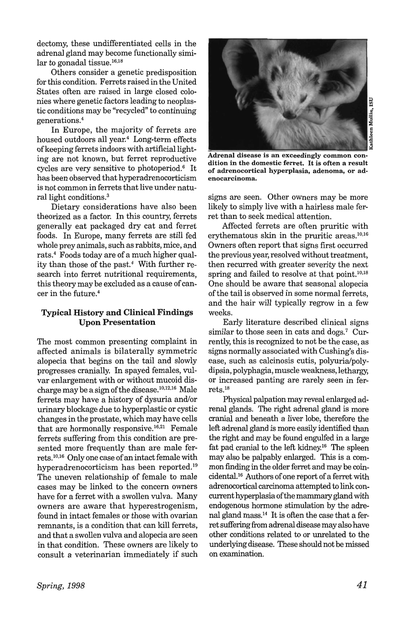dectomy, these undifferentiated cells in the adrenal gland may become functionally similar to gonadal tissue.16.IS

Others consider a genetic predisposition for this condition. Ferrets raised in the United States often are raised in large closed colonies where genetic factors leading to neoplastic conditions may be "recycled" to continuing generations.4

In Europe, the majority of ferrets are housed outdoors all year.<sup>4</sup> Long-term effects of keeping ferrets indoors with artificial lighting are not known, but ferret reproductive cycles are very sensitive to photoperiod.6 It has been observed that hyperadrenocorticism is not common in ferrets that live under natural light conditions.<sup>3</sup>

Dietary considerations have also been theorized as a factor. In this country, ferrets generally eat packaged dry cat and ferret foods. In Europe, many ferrets are still fed whole prey animals, such as rabbits, mice, and rats.4 Foods today are of a much higher quality than those of the past.<sup>4</sup> With further research into ferret nutritional requirements, this theory may be excluded as a cause of cancer in the future. <sup>4</sup>

# Typical History and Clinical Findings Upon Presentation

The most common presenting complaint in affected animals is bilaterally symmetric alopecia that begins on the tail and slowly progresses cranially. In spayed females, vulvar enlargement with or without mucoid discharge may be a sign of the disease. $10,12,16$  Male ferrets may have a history of dysuria and/or urinary blockage due to hyperplastic or cystic changes in the prostate, which may have cells that are hormonally responsive.<sup>16,21</sup> Female ferrets suffering from this condition are presented more frequently than are male ferrets.<sup>10,16</sup> Only one case of an intact female with hyperadrenocorticism has been reported.19 The uneven relationship of female to male cases may be linked to the concern owners have for a ferret with a swollen vulva. Many owners are aware that hyperestrogenism, found in intact females or those with ovarian remnants, is a condition that can kill ferrets, and that a swollen vulva and alopecia are seen in that condition. These owners are likely to consult a veterinarian immediately if such



Kathleen Mullin, ISU

Adrenal disease is an exceedingly common condition in the domestic ferret. It is often a result of adrenocortical hyperplasia, adenoma, or adenocarcinoma.

signs are seen. Other owners may be more likely to simply live with a hairless male ferret than to seek medical attention.

Affected ferrets are often pruritic with erythematous skin in the pruritic areas. $10,16$ Owners often report that signs first occurred the previous year, resolved without treatment, then recurred with greater severity the next spring and failed to resolve at that point. $10,18$ One should be aware that seasonal alopecia of the tail is observed in some normal ferrets, and the hair will typically regrow in a few weeks.

Early literature described clinical signs similar to those seen in cats and dogs.<sup>7</sup> Currently, this is recognized to not be the case, as signs normally associated with Cushing's disease, such as calcinosis cutis, polyuria/polydipsia, polyphagia, muscle weakness, lethargy, or increased panting are rarely seen in ferrets.<sup>18</sup>

Physical palpation may reveal enlarged adrenal glands. The right adrenal gland is more cranial and beneath a liver lobe, therefore the left adrenal gland is more easily identified than the right and may be found engulfed in a large fat pad cranial to the left kidney.<sup>16</sup> The spleen may also be palpably enlarged. This is a common finding in the older ferret and may be coincidental.<sup>16</sup> Authors of one report of a ferret with adrenocortical carcinoma attempted to link concurrent hyperplasia of the mammary gland with endogenous hormone stimulation by the adrenal gland mass. $14$  It is often the case that a ferret suffering from adrenal disease may also have other conditions related to or unrelated to the underlying disease. These should not be missed on examination.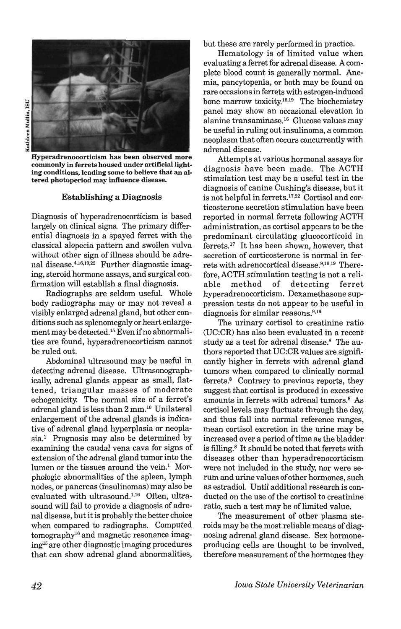

 $\frac{2}{n}$ een Mu ~

Hyperadrenocorticism has been observed more commonly in ferrets housed under artificial lighting conditions, leading some to believe that an altered photoperiod may influence disease.

### Establishing a Diagnosis

Diagnosis of hyperadrenocorticism is based largely on clinical signs. The primary differential diagnosis in a spayed ferret with the classical alopecia pattern and swollen vulva without other sign of illness should be adrenal disease.<sup>4,16,19,22</sup> Further diagnostic imaging, steroid hormone assays, and surgical confirmation will establish a final diagnosis.

Radiographs are seldom useful. Whole body radiographs mayor may not reveal a visibly enlarged adrenal gland, but other conditions such as splenomegaly or heart enlargement may be detected.<sup>15</sup> Even if no abnormalities are found, hyperadrenocorticism cannot be ruled out.

Abdominal ultrasound may be useful in detecting adrenal disease. Ultrasonographically, adrenal glands appear as small, flattened, triangular masses of moderate echogenicity. The normal size of a ferret's adrenal gland is less than 2 mm.<sup>10</sup> Unilateral enlargement of the adrenal glands is indicative of adrenal gland hyperplasia or neoplasia.<sup>1</sup> Prognosis may also be determined by examining the caudal vena cava for signs of extension of the adrenal gland tumor into the lumen or the tissues around the vein. $<sup>1</sup>$  Mor-</sup> phologic abnormalities of the spleen, lymph nodes, or pancreas (insulinomas) may also be evaluated with ultrasound.<sup>1,16</sup> Often, ultrasound will fail to provide a diagnosis of adrenal disease, but it is probably the better choice when compared to radiographs. Computed tomographyl6 and magnetic resonance imagingl5 are other diagnostic imaging procedures that can show adrenal gland abnormalities,

but these are rarely performed in practice.

Hematology is of limited value when evaluating a ferret for adrenal disease. A complete blood count is generally normal. Anemia, pancytopenia, or both may be found on rare occasions in ferrets with estrogen-induced bone marrow toxicity. $16,19$  The biochemistry panel may show an occasional elevation in alanine transaminase.<sup>16</sup> Glucose values may be useful in ruling out insulinoma, a common neoplasm that often occurs concurrently with adrenal disease.

Attempts at various hormonal assays for diagnosis have been made. The ACTH stimulation test may be a useful test in the diagnosis of canine Cushing's disease, but it is not helpful in ferrets.<sup>17,22</sup> Cortisol and corticosterone secretion stimulation have been reported in normal ferrets following ACTH administration, as cortisol appears to be the predominant circulating glucocorticoid in ferrets.l7 It has been shown, however, that secretion of corticosterone is normal in ferrets with adrenocortical disease.<sup>9,16,19</sup> Therefore, ACTH stimulation testing is not a reliable method of detecting ferret hyperadrenocorticism. Dexamethasone suppression tests do not appear to be useful in diagnosis for similar reasons.<sup>9,16</sup>

The urinary cortisol to creatinine ratio (UC:CR) has also been evaluated in a recent study as a test for adrenal disease. $8$  The authors reported that UC:CR values are significantly higher in ferrets with adrenal gland tumors when compared to clinically normal ferrets.<sup>8</sup> Contrary to previous reports, they suggest that cortisol is produced in excessive amounts in ferrets with adrenal tumors.<sup>8</sup> As cortisol levels may fluctuate through the day, and thus fall into normal reference ranges, mean cortisol excretion in the urine may be increased over a period of time as the bladder is filling.<sup>8</sup> It should be noted that ferrets with diseases other than hyperadrenocorticism were not included in the study, nor were serum and urine values of other hormones, such as estradiol. Until additional research is conducted on the use of the cortisol to creatinine ratio, such a test may be of limited value.

The measurement of other plasma steroids may be the most reliable means of diagnosing adrenal gland disease. Sex hormoneproducing cells are thought to be involved, therefore measurement of the hormones they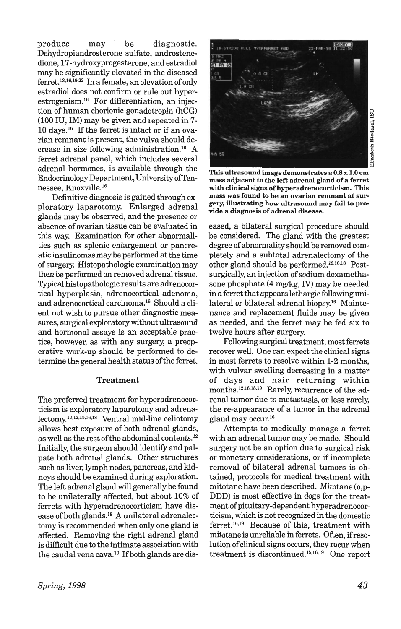produce may be diagnostic. Dehydropiandrosterone sulfate, androstenedione, 17-hydroxyprogesterone, and estradiol may be significantly elevated in the diseased ferret.13,16,19,22 In a female, an elevation of only estradiol does not confirm or rule out hyperestrogenism.16 For differentiation, an injection of human chorionic gonadotropin (hCG) (100 IU, 1M) may be given and repeated in 7- 10 days.16 If the ferret is intact or if an ovarian remnant is present, the vulva should decrease in size following administration.16 A ferret adrenal panel, which includes several adrenal hormones, is available through the Endocrinology Department, University of Tennessee, Knoxville.16

Definitive diagnosis is gained through exploratory laparotomy. Enlarged adrenal glands may be observed, and the presence or absence of ovarian tissue can be evaluated in this way. Examination for other abnormalities such as splenic enlargement or pancreatic insulinomas may be performed at the time of surgery. Histopathologic examination may then be performed on removed adrenal tissue. Typical histopathologic results are adrenocortical hyperplasia, adrenocortical adenoma, and adrenocortical carcinoma.16 Should a client not wish to pursue other diagnostic measures, surgical exploratory without ultrasound and hormonal assays is an acceptable practice, however, as with any surgery, a preoperative work-up should be performed to determine the general health status of the ferret.

#### Treatment

The preferred treatment for hyperadrenocorticism is exploratory laparotomy and adrenalectomy.l0,12,15,16,18 Ventral mid-line celiotomy allows best exposure of both adrenal glands, as well as the rest of the abdominal contents.12 Initially, the surgeon should identify and palpate both adrenal glands. Other structures such as liver, lymph nodes, pancreas, and kidneys should be examined during exploration. The left adrenal gland will generally be found to be unilaterally affected, but about 10% of ferrets with hyperadrenocorticism have disease of both glands.18 A unilateral adrenalectomy is recommended when only one gland is affected. Removing the right adrenal gland is difficult due to the intimate association with the caudal vena cava.<sup>10</sup> If both glands are dis-



Elizabeth Riedesel, IS<br>E

This ultrasound image demonstrates a 0.8 x 1.0 cm mass adjacent to the left adrenal gland of a ferret with clinical signs of hyperadrenocorticism. This mass was found to be an ovarian remnant at surgery, illustrating how ultrasound may fail to provide a diagnosis of adrenal disease.

eased, a bilateral surgical procedure should be considered. The gland with the greatest degree of abnormality should be removed completely and a subtotal adrenalectomy of the other gland should be performed.<sup>10,16,18</sup> Postsurgically, an injection of sodium dexamethasone phosphate (4 mg/kg, IV) may be needed in a ferret that appears lethargic following unilateral or bilateral adrenal biopsy.16 Maintenance and replacement fluids may be given as needed, and the ferret may be fed six to twelve hours after surgery.

Following surgical treatment, most ferrets recover well. One can expect the clinical signs in most ferrets to resolve within 1-2 months, with vulvar swelling decreasing in a matter of days and hair returning within months.12,16,18,19 Rarely, recurrence of the adrenal tumor due to metastasis, or less rarely, the re-appearance of a tumor in the adrenal gland may occur.16

Attempts to medically manage a ferret with an adrenal tumor may be made. Should surgery not be an option due to surgical risk or monetary considerations, or if incomplete removal of bilateral adrenal tumors is obtained, protocols for medical treatment with mitotane have been described. Mitotane (o,p-DDD) is most effective in dogs for the treatment of pituitary-dependent hyperadrenocorticism, which is not recognized in the domestic ferret. 16,19 Because of this, treatment with mitotane is unreliable in ferrets. Often, ifresolution of clinical signs occurs, they recur when treatment is discontinued.15,16,19 One report